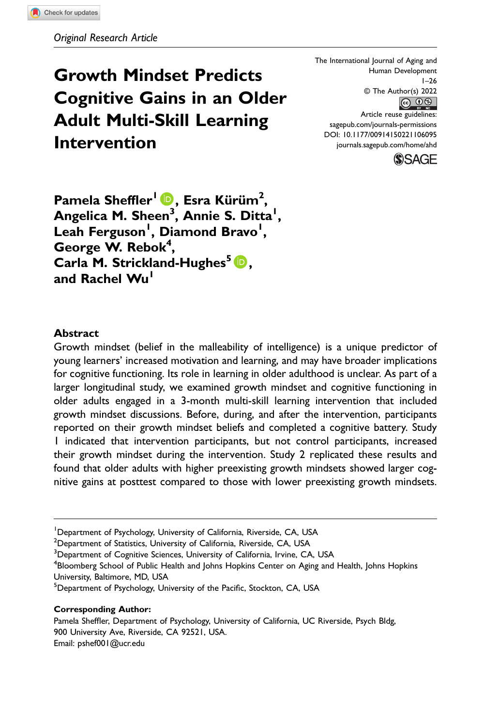# Growth Mindset Predicts Cognitive Gains in an Older Adult Multi-Skill Learning Intervention

The International Journal of Aging and Human Development 1–26 © The Author(s) 2022  $\bigcirc$   $\bullet$ Article reuse guidelines: [sagepub.com/journals-permissions](https://us.sagepub.com/en-us/journals-permissions) DOI: 10.1177/00914150221106095



Pamela Sheffler<sup>i</sup> D, Esra Kürüm<sup>2</sup>, Angelica M. Sheen<sup>3</sup>, Annie S. Ditta<sup>l</sup>, Leah Ferguson<sup>I</sup>, Diamond Bravo<sup>I</sup>, George W. Rebok<sup>4</sup>, Carla M. Strickland-Hughes<sup>5</sup>  $\bullet$ , and Rachel Wu<sup>1</sup>

#### Abstract

Growth mindset (belief in the malleability of intelligence) is a unique predictor of young learners' increased motivation and learning, and may have broader implications for cognitive functioning. Its role in learning in older adulthood is unclear. As part of a larger longitudinal study, we examined growth mindset and cognitive functioning in older adults engaged in a 3-month multi-skill learning intervention that included growth mindset discussions. Before, during, and after the intervention, participants reported on their growth mindset beliefs and completed a cognitive battery. Study 1 indicated that intervention participants, but not control participants, increased their growth mindset during the intervention. Study 2 replicated these results and found that older adults with higher preexisting growth mindsets showed larger cognitive gains at posttest compared to those with lower preexisting growth mindsets.

 $^{2}$ Department of Statistics, University of California, Riverside, CA, USA

<sup>3</sup>Department of Cognitive Sciences, University of California, Irvine, CA, USA

 $^4$ Bloomberg School of Public Health and Johns Hopkins Center on Aging and Health, Johns Hopkins University, Baltimore, MD, USA

<sup>5</sup>Department of Psychology, University of the Pacific, Stockton, CA, USA

#### Corresponding Author:

Pamela Sheffler, Department of Psychology, University of California, UC Riverside, Psych Bldg, 900 University Ave, Riverside, CA 92521, USA. Email: [pshef001@ucr.edu](mailto:pshef001@ucr.edu)

<sup>&</sup>lt;sup>1</sup>Department of Psychology, University of California, Riverside, CA, USA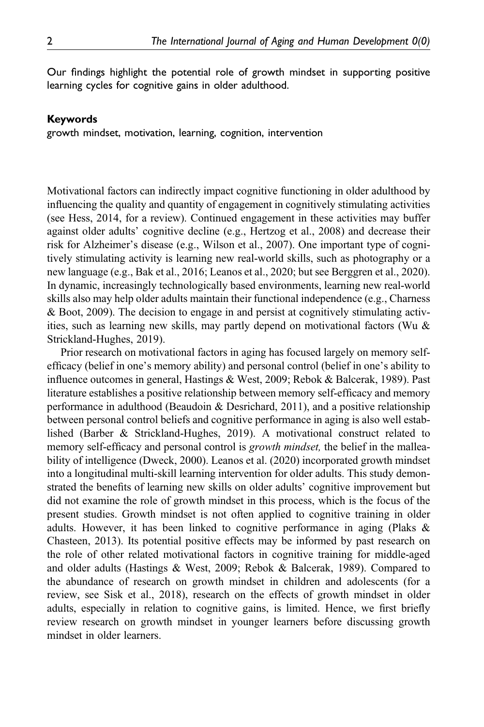Our findings highlight the potential role of growth mindset in supporting positive learning cycles for cognitive gains in older adulthood.

#### Keywords

growth mindset, motivation, learning, cognition, intervention

Motivational factors can indirectly impact cognitive functioning in older adulthood by influencing the quality and quantity of engagement in cognitively stimulating activities (see Hess, 2014, for a review). Continued engagement in these activities may buffer against older adults' cognitive decline (e.g., Hertzog et al., 2008) and decrease their risk for Alzheimer's disease (e.g., Wilson et al., 2007). One important type of cognitively stimulating activity is learning new real-world skills, such as photography or a new language (e.g., Bak et al., 2016; Leanos et al., 2020; but see Berggren et al., 2020). In dynamic, increasingly technologically based environments, learning new real-world skills also may help older adults maintain their functional independence (e.g., Charness & Boot, 2009). The decision to engage in and persist at cognitively stimulating activities, such as learning new skills, may partly depend on motivational factors (Wu & Strickland-Hughes, 2019).

Prior research on motivational factors in aging has focused largely on memory selfefficacy (belief in one's memory ability) and personal control (belief in one's ability to influence outcomes in general, Hastings & West, 2009; Rebok & Balcerak, 1989). Past literature establishes a positive relationship between memory self-efficacy and memory performance in adulthood (Beaudoin & Desrichard, 2011), and a positive relationship between personal control beliefs and cognitive performance in aging is also well established (Barber & Strickland-Hughes, 2019). A motivational construct related to memory self-efficacy and personal control is growth mindset, the belief in the malleability of intelligence (Dweck, 2000). Leanos et al. (2020) incorporated growth mindset into a longitudinal multi-skill learning intervention for older adults. This study demonstrated the benefits of learning new skills on older adults' cognitive improvement but did not examine the role of growth mindset in this process, which is the focus of the present studies. Growth mindset is not often applied to cognitive training in older adults. However, it has been linked to cognitive performance in aging (Plaks & Chasteen, 2013). Its potential positive effects may be informed by past research on the role of other related motivational factors in cognitive training for middle-aged and older adults (Hastings & West, 2009; Rebok & Balcerak, 1989). Compared to the abundance of research on growth mindset in children and adolescents (for a review, see Sisk et al., 2018), research on the effects of growth mindset in older adults, especially in relation to cognitive gains, is limited. Hence, we first briefly review research on growth mindset in younger learners before discussing growth mindset in older learners.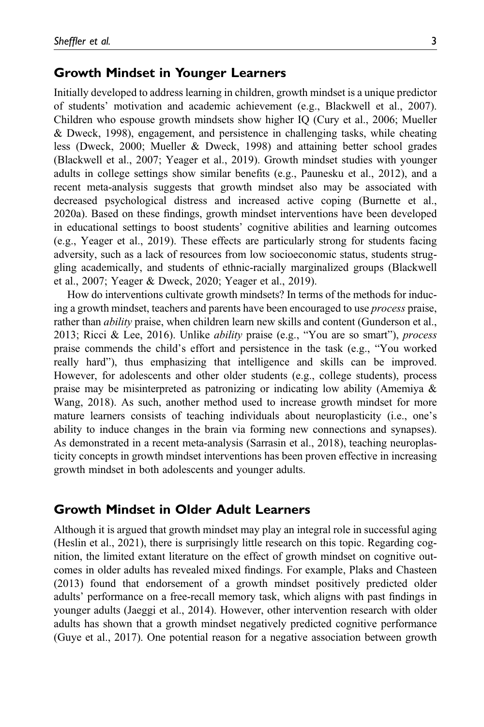#### Growth Mindset in Younger Learners

Initially developed to address learning in children, growth mindset is a unique predictor of students' motivation and academic achievement (e.g., Blackwell et al., 2007). Children who espouse growth mindsets show higher IQ (Cury et al., 2006; Mueller & Dweck, 1998), engagement, and persistence in challenging tasks, while cheating less (Dweck, 2000; Mueller & Dweck, 1998) and attaining better school grades (Blackwell et al., 2007; Yeager et al., 2019). Growth mindset studies with younger adults in college settings show similar benefits (e.g., Paunesku et al., 2012), and a recent meta-analysis suggests that growth mindset also may be associated with decreased psychological distress and increased active coping (Burnette et al., 2020a). Based on these findings, growth mindset interventions have been developed in educational settings to boost students' cognitive abilities and learning outcomes (e.g., Yeager et al., 2019). These effects are particularly strong for students facing adversity, such as a lack of resources from low socioeconomic status, students struggling academically, and students of ethnic-racially marginalized groups (Blackwell et al., 2007; Yeager & Dweck, 2020; Yeager et al., 2019).

How do interventions cultivate growth mindsets? In terms of the methods for inducing a growth mindset, teachers and parents have been encouraged to use *process* praise, rather than *ability* praise, when children learn new skills and content (Gunderson et al., 2013; Ricci & Lee, 2016). Unlike ability praise (e.g., "You are so smart"), process praise commends the child's effort and persistence in the task (e.g., "You worked really hard"), thus emphasizing that intelligence and skills can be improved. However, for adolescents and other older students (e.g., college students), process praise may be misinterpreted as patronizing or indicating low ability (Amemiya & Wang, 2018). As such, another method used to increase growth mindset for more mature learners consists of teaching individuals about neuroplasticity (i.e., one's ability to induce changes in the brain via forming new connections and synapses). As demonstrated in a recent meta-analysis (Sarrasin et al., 2018), teaching neuroplasticity concepts in growth mindset interventions has been proven effective in increasing growth mindset in both adolescents and younger adults.

#### Growth Mindset in Older Adult Learners

Although it is argued that growth mindset may play an integral role in successful aging (Heslin et al., 2021), there is surprisingly little research on this topic. Regarding cognition, the limited extant literature on the effect of growth mindset on cognitive outcomes in older adults has revealed mixed findings. For example, Plaks and Chasteen (2013) found that endorsement of a growth mindset positively predicted older adults' performance on a free-recall memory task, which aligns with past findings in younger adults (Jaeggi et al., 2014). However, other intervention research with older adults has shown that a growth mindset negatively predicted cognitive performance (Guye et al., 2017). One potential reason for a negative association between growth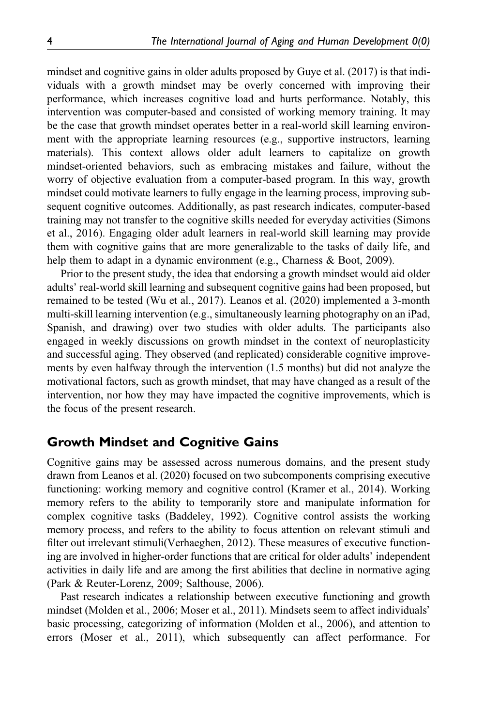mindset and cognitive gains in older adults proposed by Guye et al. (2017) is that individuals with a growth mindset may be overly concerned with improving their performance, which increases cognitive load and hurts performance. Notably, this intervention was computer-based and consisted of working memory training. It may be the case that growth mindset operates better in a real-world skill learning environment with the appropriate learning resources (e.g., supportive instructors, learning materials). This context allows older adult learners to capitalize on growth mindset-oriented behaviors, such as embracing mistakes and failure, without the worry of objective evaluation from a computer-based program. In this way, growth mindset could motivate learners to fully engage in the learning process, improving subsequent cognitive outcomes. Additionally, as past research indicates, computer-based training may not transfer to the cognitive skills needed for everyday activities (Simons et al., 2016). Engaging older adult learners in real-world skill learning may provide them with cognitive gains that are more generalizable to the tasks of daily life, and help them to adapt in a dynamic environment (e.g., Charness & Boot, 2009).

Prior to the present study, the idea that endorsing a growth mindset would aid older adults' real-world skill learning and subsequent cognitive gains had been proposed, but remained to be tested (Wu et al., 2017). Leanos et al. (2020) implemented a 3-month multi-skill learning intervention (e.g., simultaneously learning photography on an iPad, Spanish, and drawing) over two studies with older adults. The participants also engaged in weekly discussions on growth mindset in the context of neuroplasticity and successful aging. They observed (and replicated) considerable cognitive improvements by even halfway through the intervention (1.5 months) but did not analyze the motivational factors, such as growth mindset, that may have changed as a result of the intervention, nor how they may have impacted the cognitive improvements, which is the focus of the present research.

# Growth Mindset and Cognitive Gains

Cognitive gains may be assessed across numerous domains, and the present study drawn from Leanos et al. (2020) focused on two subcomponents comprising executive functioning: working memory and cognitive control (Kramer et al., 2014). Working memory refers to the ability to temporarily store and manipulate information for complex cognitive tasks (Baddeley, 1992). Cognitive control assists the working memory process, and refers to the ability to focus attention on relevant stimuli and filter out irrelevant stimuli(Verhaeghen, 2012). These measures of executive functioning are involved in higher-order functions that are critical for older adults' independent activities in daily life and are among the first abilities that decline in normative aging (Park & Reuter-Lorenz, 2009; Salthouse, 2006).

Past research indicates a relationship between executive functioning and growth mindset (Molden et al., 2006; Moser et al., 2011). Mindsets seem to affect individuals' basic processing, categorizing of information (Molden et al., 2006), and attention to errors (Moser et al., 2011), which subsequently can affect performance. For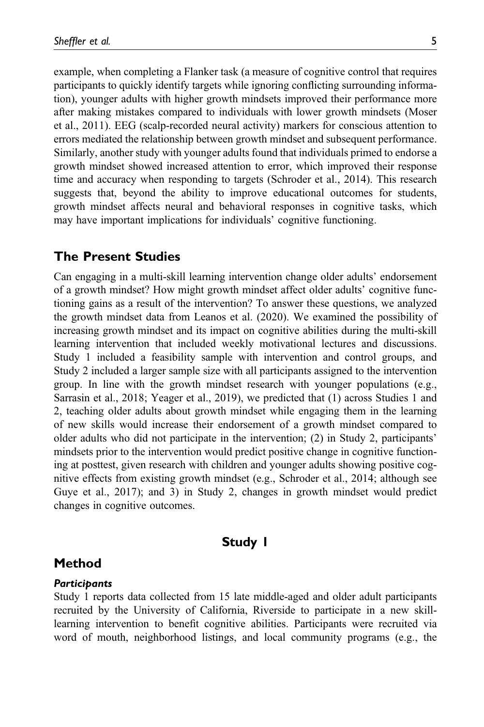example, when completing a Flanker task (a measure of cognitive control that requires participants to quickly identify targets while ignoring conflicting surrounding information), younger adults with higher growth mindsets improved their performance more after making mistakes compared to individuals with lower growth mindsets (Moser et al., 2011). EEG (scalp-recorded neural activity) markers for conscious attention to errors mediated the relationship between growth mindset and subsequent performance. Similarly, another study with younger adults found that individuals primed to endorse a growth mindset showed increased attention to error, which improved their response time and accuracy when responding to targets (Schroder et al., 2014). This research suggests that, beyond the ability to improve educational outcomes for students, growth mindset affects neural and behavioral responses in cognitive tasks, which may have important implications for individuals' cognitive functioning.

#### The Present Studies

Can engaging in a multi-skill learning intervention change older adults' endorsement of a growth mindset? How might growth mindset affect older adults' cognitive functioning gains as a result of the intervention? To answer these questions, we analyzed the growth mindset data from Leanos et al. (2020). We examined the possibility of increasing growth mindset and its impact on cognitive abilities during the multi-skill learning intervention that included weekly motivational lectures and discussions. Study 1 included a feasibility sample with intervention and control groups, and Study 2 included a larger sample size with all participants assigned to the intervention group. In line with the growth mindset research with younger populations (e.g., Sarrasin et al., 2018; Yeager et al., 2019), we predicted that (1) across Studies 1 and 2, teaching older adults about growth mindset while engaging them in the learning of new skills would increase their endorsement of a growth mindset compared to older adults who did not participate in the intervention; (2) in Study 2, participants' mindsets prior to the intervention would predict positive change in cognitive functioning at posttest, given research with children and younger adults showing positive cognitive effects from existing growth mindset (e.g., Schroder et al., 2014; although see Guye et al., 2017); and 3) in Study 2, changes in growth mindset would predict changes in cognitive outcomes.

# Study 1

## Method

#### **Participants**

Study 1 reports data collected from 15 late middle-aged and older adult participants recruited by the University of California, Riverside to participate in a new skilllearning intervention to benefit cognitive abilities. Participants were recruited via word of mouth, neighborhood listings, and local community programs (e.g., the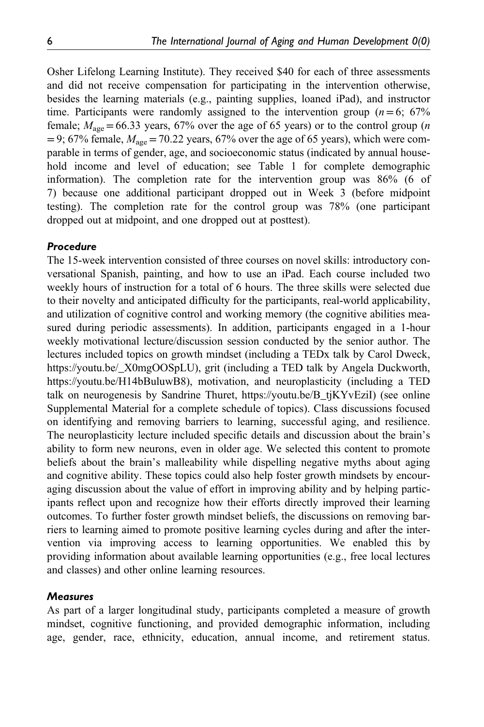Osher Lifelong Learning Institute). They received \$40 for each of three assessments and did not receive compensation for participating in the intervention otherwise, besides the learning materials (e.g., painting supplies, loaned iPad), and instructor time. Participants were randomly assigned to the intervention group ( $n=6$ ; 67% female;  $M_{\text{age}} = 66.33$  years, 67% over the age of 65 years) or to the control group (*n*  $=9$ ; 67% female,  $M_{\text{age}}=70.22$  years, 67% over the age of 65 years), which were comparable in terms of gender, age, and socioeconomic status (indicated by annual household income and level of education; see Table 1 for complete demographic information). The completion rate for the intervention group was 86% (6 of 7) because one additional participant dropped out in Week 3 (before midpoint testing). The completion rate for the control group was 78% (one participant dropped out at midpoint, and one dropped out at posttest).

#### Procedure

The 15-week intervention consisted of three courses on novel skills: introductory conversational Spanish, painting, and how to use an iPad. Each course included two weekly hours of instruction for a total of 6 hours. The three skills were selected due to their novelty and anticipated difficulty for the participants, real-world applicability, and utilization of cognitive control and working memory (the cognitive abilities measured during periodic assessments). In addition, participants engaged in a 1-hour weekly motivational lecture/discussion session conducted by the senior author. The lectures included topics on growth mindset (including a TEDx talk by Carol Dweck, [https://youtu.be/\\_X0mgOOSpLU\)](https://youtu.be/_X0mgOOSpLU), grit (including a TED talk by Angela Duckworth, <https://youtu.be/H14bBuluwB8>), motivation, and neuroplasticity (including a TED talk on neurogenesis by Sandrine Thuret, [https://youtu.be/B\\_tjKYvEziI](https://youtu.be/B_tjKYvEziI)) (see online Supplemental Material for a complete schedule of topics). Class discussions focused on identifying and removing barriers to learning, successful aging, and resilience. The neuroplasticity lecture included specific details and discussion about the brain's ability to form new neurons, even in older age. We selected this content to promote beliefs about the brain's malleability while dispelling negative myths about aging and cognitive ability. These topics could also help foster growth mindsets by encouraging discussion about the value of effort in improving ability and by helping participants reflect upon and recognize how their efforts directly improved their learning outcomes. To further foster growth mindset beliefs, the discussions on removing barriers to learning aimed to promote positive learning cycles during and after the intervention via improving access to learning opportunities. We enabled this by providing information about available learning opportunities (e.g., free local lectures and classes) and other online learning resources.

#### Measures

As part of a larger longitudinal study, participants completed a measure of growth mindset, cognitive functioning, and provided demographic information, including age, gender, race, ethnicity, education, annual income, and retirement status.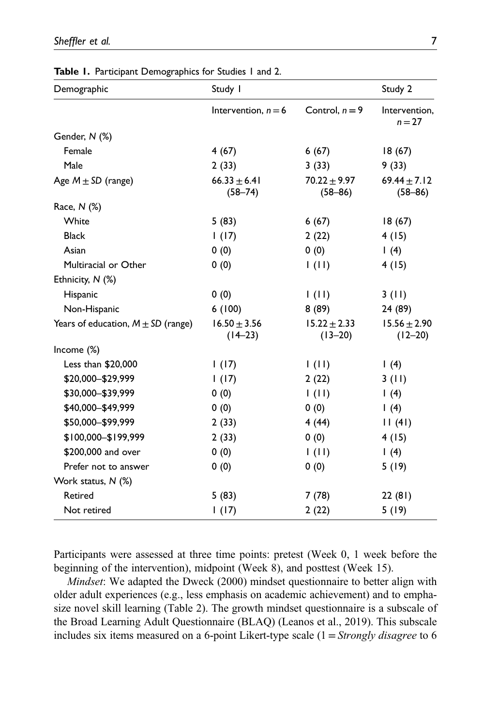| Demographic                            | Study I                         | Study 2                         |                                 |
|----------------------------------------|---------------------------------|---------------------------------|---------------------------------|
|                                        | Intervention, $n = 6$           | Control, $n = 9$                | Intervention,<br>$n = 27$       |
| Gender, N (%)                          |                                 |                                 |                                 |
| Female                                 | 4(67)                           | 6(67)                           | 18(67)                          |
| Male                                   | 2(33)                           | 3(33)                           | 9(33)                           |
| Age $M \pm SD$ (range)                 | $66.33 \pm 6.41$<br>$(58 - 74)$ | $70.22 \pm 9.97$<br>$(58 - 86)$ | 69.44 $\pm$ 7.12<br>$(58 - 86)$ |
| Race, N (%)                            |                                 |                                 |                                 |
| White                                  | 5(83)                           | 6(67)                           | 18(67)                          |
| <b>Black</b>                           | 1(17)                           | 2(22)                           | 4(15)                           |
| Asian                                  | 0(0)                            | 0(0)                            | 1(4)                            |
| Multiracial or Other                   | 0(0)                            | $\vert$ (II)                    | 4 (15)                          |
| Ethnicity, N (%)                       |                                 |                                 |                                 |
| Hispanic                               | 0(0)                            | $\vert$ (II)                    | 3(11)                           |
| Non-Hispanic                           | 6(100)                          | 8(89)                           | 24 (89)                         |
| Years of education, $M \pm SD$ (range) | $16.50 \pm 3.56$<br>$(14-23)$   | $15.22 \pm 2.33$<br>$(13 - 20)$ | $15.56 \pm 2.90$<br>$(12 - 20)$ |
| Income (%)                             |                                 |                                 |                                 |
| Less than \$20,000                     | 1(17)                           | 1(11)                           | 1(4)                            |
| \$20,000-\$29,999                      | 1(17)                           | 2(22)                           | 3(11)                           |
| \$30,000-\$39,999                      | 0(0)                            | $\vert$ (II)                    | $\mid$ (4)                      |
| \$40,000-\$49,999                      | 0(0)                            | 0(0)                            | 1(4)                            |
| \$50,000-\$99,999                      | 2(33)                           | 4 (44)                          | 11(41)                          |
| \$100,000-\$199,999                    | 2(33)                           | 0(0)                            | 4 (15)                          |
| \$200,000 and over                     | 0(0)                            | $\vert$ (11)                    | 1(4)                            |
| Prefer not to answer                   | 0(0)                            | 0(0)                            | 5(19)                           |
| Work status, N (%)                     |                                 |                                 |                                 |
| Retired                                | 5(83)                           | 7(78)                           | 22(81)                          |
| Not retired                            | 1(17)                           | 2(22)                           | 5(19)                           |

Table 1. Participant Demographics for Studies 1 and 2.

Participants were assessed at three time points: pretest (Week 0, 1 week before the beginning of the intervention), midpoint (Week 8), and posttest (Week 15).

Mindset: We adapted the Dweck (2000) mindset questionnaire to better align with older adult experiences (e.g., less emphasis on academic achievement) and to emphasize novel skill learning (Table 2). The growth mindset questionnaire is a subscale of the Broad Learning Adult Questionnaire (BLAQ) (Leanos et al., 2019). This subscale includes six items measured on a 6-point Likert-type scale  $(1 = \text{Strongly disagree to 6})$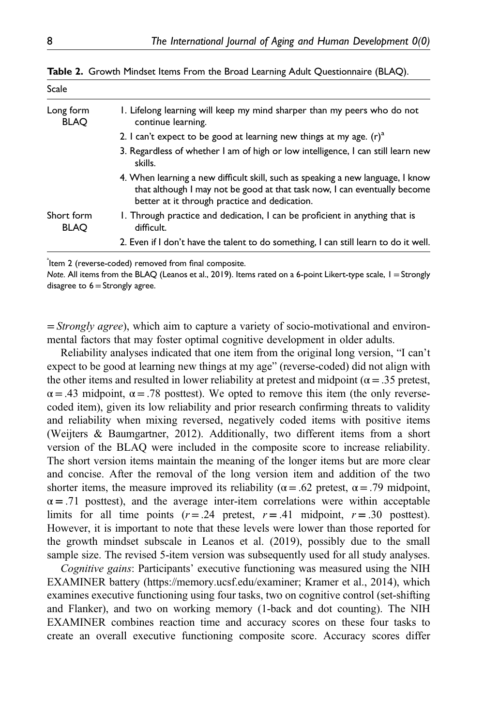| Scale       |                                                                         |
|-------------|-------------------------------------------------------------------------|
| Long form   | 1. Lifelong learning will keep my mind sharper than my peers who do not |
| <b>BLAO</b> | continue learning.                                                      |

Table 2. Growth Mindset Items From the Broad Learning Adult Questionnaire (BLAQ).

- 3. Regardless of whether I am of high or low intelligence, I can still learn new skills.
- 4. When learning a new difficult skill, such as speaking a new language, I know that although I may not be good at that task now, I can eventually become better at it through practice and dedication.
- Short form BLAQ 1. Through practice and dedication, I can be proficient in anything that is difficult.
	- 2. Even if I don't have the talent to do something, I can still learn to do it well.

<sup>a</sup>ltem 2 (reverse-coded) removed from final composite.

Note. All items from the BLAQ (Leanos et al., 2019). Items rated on a 6-point Likert-type scale, 1=Strongly disagree to  $6=$  Strongly agree.

 $=$  *Strongly agree*), which aim to capture a variety of socio-motivational and environmental factors that may foster optimal cognitive development in older adults.

Reliability analyses indicated that one item from the original long version, "I can't expect to be good at learning new things at my age" (reverse-coded) did not align with the other items and resulted in lower reliability at pretest and midpoint ( $\alpha = .35$  pretest,  $\alpha$  = .43 midpoint,  $\alpha$  = .78 posttest). We opted to remove this item (the only reversecoded item), given its low reliability and prior research confirming threats to validity and reliability when mixing reversed, negatively coded items with positive items (Weijters & Baumgartner, 2012). Additionally, two different items from a short version of the BLAQ were included in the composite score to increase reliability. The short version items maintain the meaning of the longer items but are more clear and concise. After the removal of the long version item and addition of the two shorter items, the measure improved its reliability ( $\alpha$  = .62 pretest,  $\alpha$  = .79 midpoint,  $\alpha$  = .71 posttest), and the average inter-item correlations were within acceptable limits for all time points  $(r=.24$  pretest,  $r=.41$  midpoint,  $r=.30$  posttest). However, it is important to note that these levels were lower than those reported for the growth mindset subscale in Leanos et al. (2019), possibly due to the small sample size. The revised 5-item version was subsequently used for all study analyses.

Cognitive gains: Participants' executive functioning was measured using the NIH EXAMINER battery [\(https://memory.ucsf.edu/examiner](https://memory.ucsf.edu/examiner); Kramer et al., 2014), which examines executive functioning using four tasks, two on cognitive control (set-shifting and Flanker), and two on working memory (1-back and dot counting). The NIH EXAMINER combines reaction time and accuracy scores on these four tasks to create an overall executive functioning composite score. Accuracy scores differ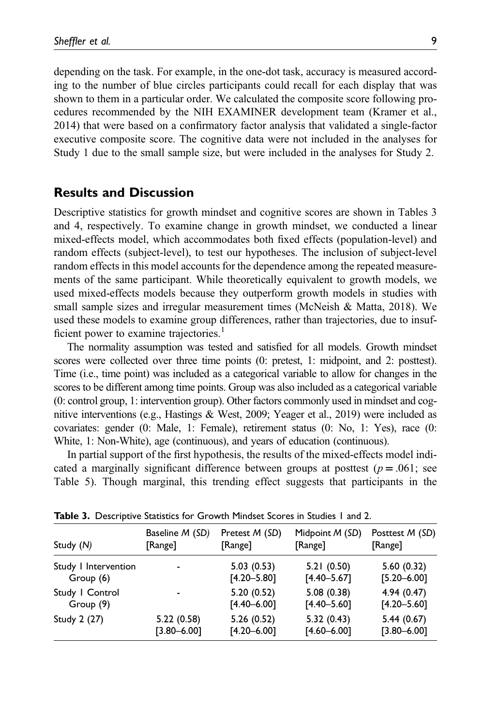depending on the task. For example, in the one-dot task, accuracy is measured according to the number of blue circles participants could recall for each display that was shown to them in a particular order. We calculated the composite score following procedures recommended by the NIH EXAMINER development team (Kramer et al., 2014) that were based on a confirmatory factor analysis that validated a single-factor executive composite score. The cognitive data were not included in the analyses for Study 1 due to the small sample size, but were included in the analyses for Study 2.

#### Results and Discussion

Descriptive statistics for growth mindset and cognitive scores are shown in Tables 3 and 4, respectively. To examine change in growth mindset, we conducted a linear mixed-effects model, which accommodates both fixed effects (population-level) and random effects (subject-level), to test our hypotheses. The inclusion of subject-level random effects in this model accounts for the dependence among the repeated measurements of the same participant. While theoretically equivalent to growth models, we used mixed-effects models because they outperform growth models in studies with small sample sizes and irregular measurement times (McNeish & Matta, 2018). We used these models to examine group differences, rather than trajectories, due to insufficient power to examine trajectories.<sup>1</sup>

The normality assumption was tested and satisfied for all models. Growth mindset scores were collected over three time points (0: pretest, 1: midpoint, and 2: posttest). Time (i.e., time point) was included as a categorical variable to allow for changes in the scores to be different among time points. Group was also included as a categorical variable (0: control group, 1: intervention group). Other factors commonly used in mindset and cognitive interventions (e.g., Hastings & West, 2009; Yeager et al., 2019) were included as covariates: gender (0: Male, 1: Female), retirement status (0: No, 1: Yes), race (0: White, 1: Non-White), age (continuous), and years of education (continuous).

In partial support of the first hypothesis, the results of the mixed-effects model indicated a marginally significant difference between groups at posttest ( $p = .061$ ; see Table 5). Though marginal, this trending effect suggests that participants in the

| Study (N)            | Baseline M (SD) | Pretest M (SD)  | Midpoint M (SD) | Posttest M (SD) |
|----------------------|-----------------|-----------------|-----------------|-----------------|
|                      | [Range]         | [Range]         | [Range]         | [Range]         |
| Study I Intervention | ٠               | 5.03(0.53)      | 5.21(0.50)      | 5.60(0.32)      |
| Group (6)            |                 | $[4.20 - 5.80]$ | $[4.40 - 5.67]$ | $[5.20 - 6.00]$ |
| Study I Control      | ٠               | 5.20(0.52)      | 5.08(0.38)      | 4.94(0.47)      |
| Group (9)            |                 | $[4.40 - 6.00]$ | $[4.40 - 5.60]$ | $[4.20 - 5.60]$ |
| Study 2 (27)         | 5.22(0.58)      | 5.26(0.52)      | 5.32(0.43)      | 5.44(0.67)      |
|                      | $[3.80 - 6.00]$ | $[4.20 - 6.00]$ | $[4.60 - 6.00]$ | $[3.80 - 6.00]$ |

Table 3. Descriptive Statistics for Growth Mindset Scores in Studies 1 and 2.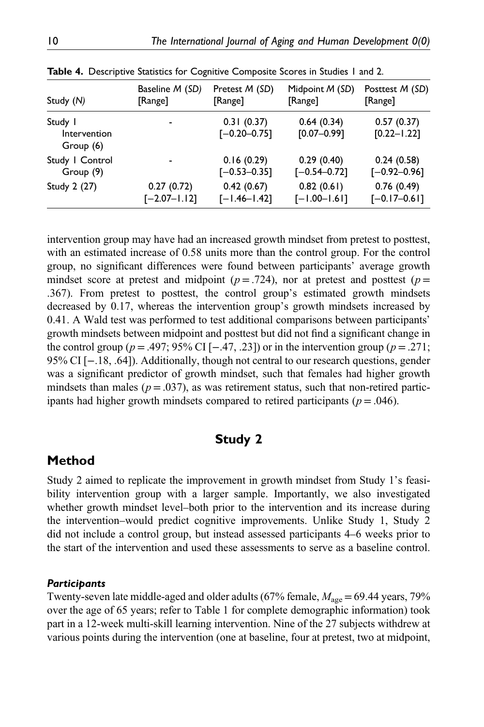| Study (N)                            | Baseline M (SD)  | Pretest M (SD)                 | Midpoint M (SD)               | Posttest M (SD)               |  |
|--------------------------------------|------------------|--------------------------------|-------------------------------|-------------------------------|--|
|                                      | [Range]          | [Range]                        | [Range]                       | [Range]                       |  |
| Study I<br>Intervention<br>Group (6) |                  | 0.31(0.37)<br>$[-0.20 - 0.75]$ | 0.64(0.34)<br>$[0.07 - 0.99]$ | 0.57(0.37)<br>$[0.22 - 1.22]$ |  |
| Study   Control                      |                  | 0.16(0.29)                     | 0.29(0.40)                    | 0.24(0.58)                    |  |
| Group (9)                            |                  | $[-0.53 - 0.35]$               | $[-0.54 - 0.72]$              | $[-0.92 - 0.96]$              |  |
| Study 2 (27)                         | 0.27(0.72)       | 0.42(0.67)                     | 0.82(0.61)                    | 0.76(0.49)                    |  |
|                                      | $[-2.07 - 1.12]$ | $[-1.46 - 1.42]$               | $[-1.00 - 1.61]$              | $[-0.17 - 0.61]$              |  |

Table 4. Descriptive Statistics for Cognitive Composite Scores in Studies 1 and 2.

intervention group may have had an increased growth mindset from pretest to posttest, with an estimated increase of 0.58 units more than the control group. For the control group, no significant differences were found between participants' average growth mindset score at pretest and midpoint ( $p = .724$ ), nor at pretest and posttest ( $p=$ .367). From pretest to posttest, the control group's estimated growth mindsets decreased by 0.17, whereas the intervention group's growth mindsets increased by 0.41. A Wald test was performed to test additional comparisons between participants' growth mindsets between midpoint and posttest but did not find a significant change in the control group ( $p = .497$ ; 95% CI [−.47, .23]) or in the intervention group ( $p = .271$ ; 95% CI [−.18, .64]). Additionally, though not central to our research questions, gender was a significant predictor of growth mindset, such that females had higher growth mindsets than males ( $p = .037$ ), as was retirement status, such that non-retired participants had higher growth mindsets compared to retired participants ( $p = .046$ ).

# Study 2

# Method

Study 2 aimed to replicate the improvement in growth mindset from Study 1's feasibility intervention group with a larger sample. Importantly, we also investigated whether growth mindset level–both prior to the intervention and its increase during the intervention–would predict cognitive improvements. Unlike Study 1, Study 2 did not include a control group, but instead assessed participants 4–6 weeks prior to the start of the intervention and used these assessments to serve as a baseline control.

#### **Participants**

Twenty-seven late middle-aged and older adults (67% female,  $M_{\text{age}} = 69.44$  years, 79% over the age of 65 years; refer to Table 1 for complete demographic information) took part in a 12-week multi-skill learning intervention. Nine of the 27 subjects withdrew at various points during the intervention (one at baseline, four at pretest, two at midpoint,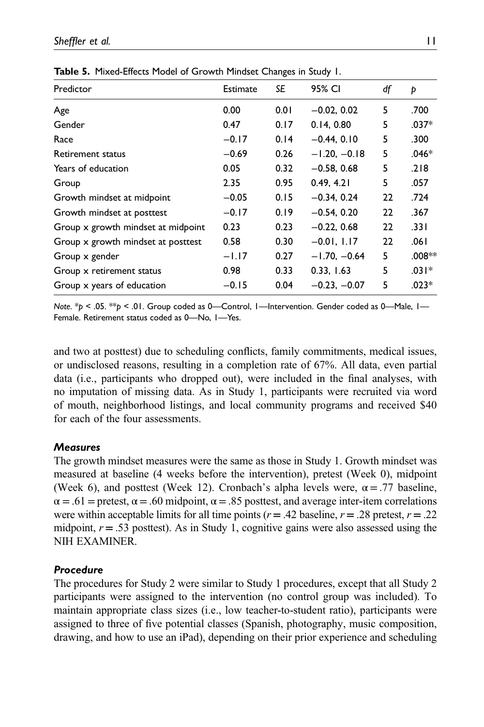| Predictor                          | Estimate | SE   | 95% CI         | df | Þ        |
|------------------------------------|----------|------|----------------|----|----------|
| Age                                | 0.00     | 0.01 | $-0.02, 0.02$  | 5  | .700     |
| Gender                             | 0.47     | 0.17 | 0.14.0.80      | 5  | .037*    |
| Race                               | $-0.17$  | 0.14 | $-0.44, 0.10$  | 5  | .300     |
| Retirement status                  | $-0.69$  | 0.26 | $-1.20, -0.18$ | 5  | $.046*$  |
| Years of education                 | 0.05     | 0.32 | $-0.58, 0.68$  | 5  | .218     |
| Group                              | 2.35     | 0.95 | 0.49, 4.21     | 5  | .057     |
| Growth mindset at midpoint         | $-0.05$  | 0.15 | $-0.34, 0.24$  | 22 | .724     |
| Growth mindset at posttest         | $-0.17$  | 0.19 | $-0.54, 0.20$  | 22 | .367     |
| Group x growth mindset at midpoint | 0.23     | 0.23 | $-0.22, 0.68$  | 22 | .331     |
| Group x growth mindset at posttest | 0.58     | 0.30 | $-0.01, 1.17$  | 22 | .061     |
| Group x gender                     | $-1.17$  | 0.27 | $-1.70, -0.64$ | 5  | $.008**$ |
| Group x retirement status          | 0.98     | 0.33 | 0.33, 1.63     | 5  | $.031*$  |
| Group x years of education         | $-0.15$  | 0.04 | $-0.23, -0.07$ | 5  | $.023*$  |
|                                    |          |      |                |    |          |

Table 5. Mixed-Effects Model of Growth Mindset Changes in Study 1.

Note.  $*_{p}$  < .05.  $*_{p}$  < .01. Group coded as 0—Control, 1—Intervention. Gender coded as 0—Male, 1— Female. Retirement status coded as 0—No, 1—Yes.

and two at posttest) due to scheduling conflicts, family commitments, medical issues, or undisclosed reasons, resulting in a completion rate of 67%. All data, even partial data (i.e., participants who dropped out), were included in the final analyses, with no imputation of missing data. As in Study 1, participants were recruited via word of mouth, neighborhood listings, and local community programs and received \$40 for each of the four assessments.

#### **Measures**

The growth mindset measures were the same as those in Study 1. Growth mindset was measured at baseline (4 weeks before the intervention), pretest (Week 0), midpoint (Week 6), and posttest (Week 12). Cronbach's alpha levels were,  $\alpha = .77$  baseline,  $\alpha = .61$  = pretest,  $\alpha = .60$  midpoint,  $\alpha = .85$  posttest, and average inter-item correlations were within acceptable limits for all time points ( $r = .42$  baseline,  $r = .28$  pretest,  $r = .22$ midpoint,  $r = .53$  posttest). As in Study 1, cognitive gains were also assessed using the NIH EXAMINER.

#### Procedure

The procedures for Study 2 were similar to Study 1 procedures, except that all Study 2 participants were assigned to the intervention (no control group was included). To maintain appropriate class sizes (i.e., low teacher-to-student ratio), participants were assigned to three of five potential classes (Spanish, photography, music composition, drawing, and how to use an iPad), depending on their prior experience and scheduling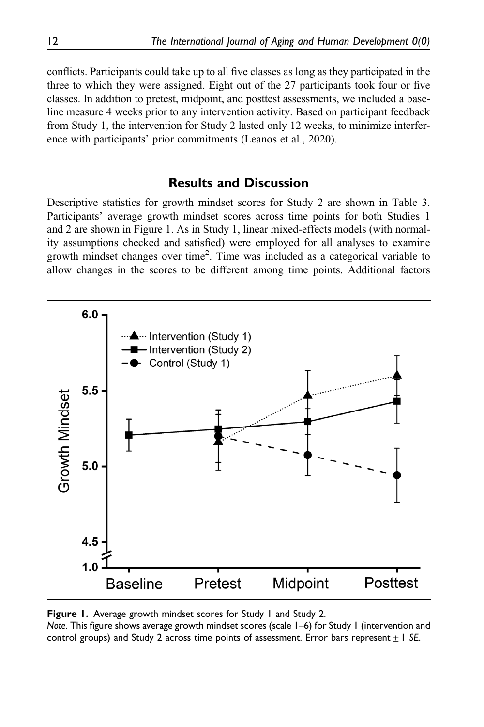conflicts. Participants could take up to all five classes as long as they participated in the three to which they were assigned. Eight out of the 27 participants took four or five classes. In addition to pretest, midpoint, and posttest assessments, we included a baseline measure 4 weeks prior to any intervention activity. Based on participant feedback from Study 1, the intervention for Study 2 lasted only 12 weeks, to minimize interference with participants' prior commitments (Leanos et al., 2020).

# Results and Discussion

Descriptive statistics for growth mindset scores for Study 2 are shown in Table 3. Participants' average growth mindset scores across time points for both Studies 1 and 2 are shown in Figure 1. As in Study 1, linear mixed-effects models (with normality assumptions checked and satisfied) were employed for all analyses to examine growth mindset changes over time<sup>2</sup>. Time was included as a categorical variable to allow changes in the scores to be different among time points. Additional factors



Figure 1. Average growth mindset scores for Study 1 and Study 2.

Note. This figure shows average growth mindset scores (scale 1–6) for Study 1 (intervention and control groups) and Study 2 across time points of assessment. Error bars represent  $\pm 1$  SE.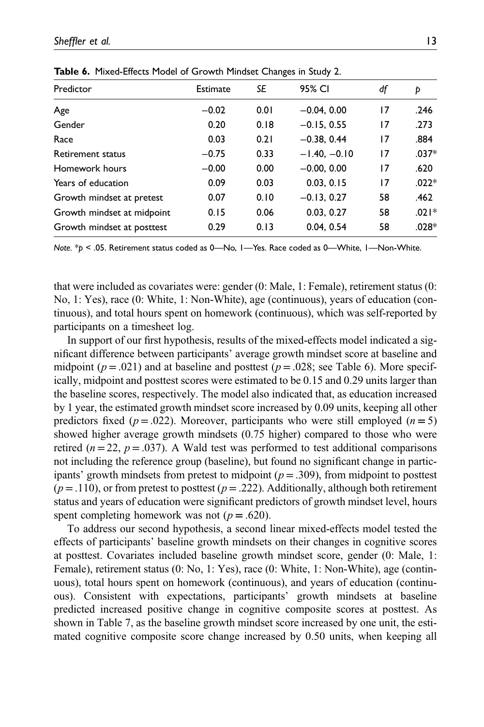| Predictor                  | Estimate | SE   | 95% CI         | df | Þ       |
|----------------------------|----------|------|----------------|----|---------|
| Age                        | $-0.02$  | 0.01 | $-0.04, 0.00$  | 17 | .246    |
| Gender                     | 0.20     | 0.18 | $-0.15, 0.55$  | 17 | .273    |
| Race                       | 0.03     | 0.21 | $-0.38, 0.44$  | 17 | .884    |
| Retirement status          | $-0.75$  | 0.33 | $-1.40, -0.10$ | 17 | $.037*$ |
| Homework hours             | $-0.00$  | 0.00 | $-0.00, 0.00$  | 17 | .620    |
| Years of education         | 0.09     | 0.03 | 0.03, 0.15     | 17 | $.022*$ |
| Growth mindset at pretest  | 0.07     | 0.10 | $-0.13, 0.27$  | 58 | .462    |
| Growth mindset at midpoint | 0.15     | 0.06 | 0.03, 0.27     | 58 | $.021*$ |
| Growth mindset at posttest | 0.29     | 0.13 | 0.04.0.54      | 58 | $.028*$ |

Table 6. Mixed-Effects Model of Growth Mindset Changes in Study 2.

Note. \*p < .05. Retirement status coded as 0—No, 1—Yes. Race coded as 0—White, 1—Non-White.

that were included as covariates were: gender (0: Male, 1: Female), retirement status (0: No, 1: Yes), race (0: White, 1: Non-White), age (continuous), years of education (continuous), and total hours spent on homework (continuous), which was self-reported by participants on a timesheet log.

In support of our first hypothesis, results of the mixed-effects model indicated a significant difference between participants' average growth mindset score at baseline and midpoint ( $p = .021$ ) and at baseline and posttest ( $p = .028$ ; see Table 6). More specifically, midpoint and posttest scores were estimated to be 0.15 and 0.29 units larger than the baseline scores, respectively. The model also indicated that, as education increased by 1 year, the estimated growth mindset score increased by 0.09 units, keeping all other predictors fixed ( $p = .022$ ). Moreover, participants who were still employed ( $n = 5$ ) showed higher average growth mindsets (0.75 higher) compared to those who were retired ( $n=22$ ,  $p=.037$ ). A Wald test was performed to test additional comparisons not including the reference group (baseline), but found no significant change in participants' growth mindsets from pretest to midpoint ( $p = .309$ ), from midpoint to posttest  $(p=.110)$ , or from pretest to posttest  $(p=.222)$ . Additionally, although both retirement status and years of education were significant predictors of growth mindset level, hours spent completing homework was not ( $p = .620$ ).

To address our second hypothesis, a second linear mixed-effects model tested the effects of participants' baseline growth mindsets on their changes in cognitive scores at posttest. Covariates included baseline growth mindset score, gender (0: Male, 1: Female), retirement status (0: No, 1: Yes), race (0: White, 1: Non-White), age (continuous), total hours spent on homework (continuous), and years of education (continuous). Consistent with expectations, participants' growth mindsets at baseline predicted increased positive change in cognitive composite scores at posttest. As shown in Table 7, as the baseline growth mindset score increased by one unit, the estimated cognitive composite score change increased by 0.50 units, when keeping all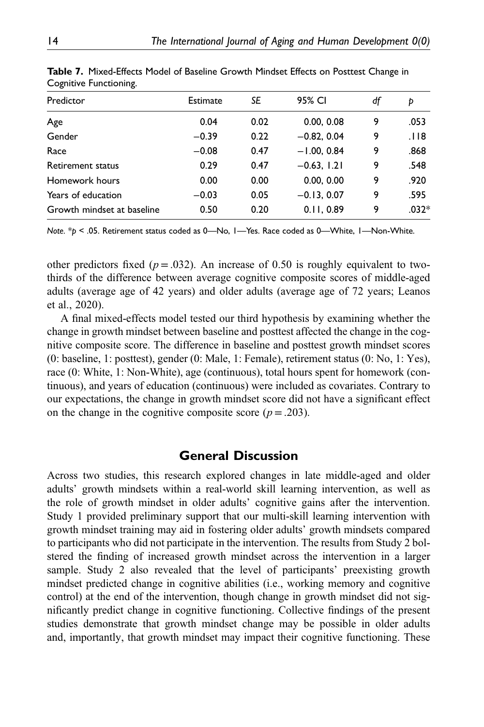| Predictor                  | <b>Estimate</b> | SE   | 95% CI        | df | Þ       |
|----------------------------|-----------------|------|---------------|----|---------|
| Age                        | 0.04            | 0.02 | 0.00, 0.08    | 9  | .053    |
| Gender                     | $-0.39$         | 0.22 | $-0.82, 0.04$ | 9  | .।।8    |
| Race                       | $-0.08$         | 0.47 | $-1.00, 0.84$ | 9  | .868    |
| Retirement status          | 0.29            | 0.47 | $-0.63, 1.21$ | 9  | .548    |
| Homework hours             | 0.00            | 0.00 | 0.00, 0.00    | 9  | .920    |
| Years of education         | $-0.03$         | 0.05 | $-0.13, 0.07$ | 9  | .595    |
| Growth mindset at baseline | 0.50            | 0.20 | 0.11.0.89     | 9  | $.032*$ |
|                            |                 |      |               |    |         |

Table 7. Mixed-Effects Model of Baseline Growth Mindset Effects on Posttest Change in Cognitive Functioning.

Note.  $*$ p < .05. Retirement status coded as 0—No, 1—Yes. Race coded as 0—White, 1—Non-White.

other predictors fixed ( $p = .032$ ). An increase of 0.50 is roughly equivalent to twothirds of the difference between average cognitive composite scores of middle-aged adults (average age of 42 years) and older adults (average age of 72 years; Leanos et al., 2020).

A final mixed-effects model tested our third hypothesis by examining whether the change in growth mindset between baseline and posttest affected the change in the cognitive composite score. The difference in baseline and posttest growth mindset scores (0: baseline, 1: posttest), gender (0: Male, 1: Female), retirement status (0: No, 1: Yes), race (0: White, 1: Non-White), age (continuous), total hours spent for homework (continuous), and years of education (continuous) were included as covariates. Contrary to our expectations, the change in growth mindset score did not have a significant effect on the change in the cognitive composite score ( $p = .203$ ).

## General Discussion

Across two studies, this research explored changes in late middle-aged and older adults' growth mindsets within a real-world skill learning intervention, as well as the role of growth mindset in older adults' cognitive gains after the intervention. Study 1 provided preliminary support that our multi-skill learning intervention with growth mindset training may aid in fostering older adults' growth mindsets compared to participants who did not participate in the intervention. The results from Study 2 bolstered the finding of increased growth mindset across the intervention in a larger sample. Study 2 also revealed that the level of participants' preexisting growth mindset predicted change in cognitive abilities (i.e., working memory and cognitive control) at the end of the intervention, though change in growth mindset did not significantly predict change in cognitive functioning. Collective findings of the present studies demonstrate that growth mindset change may be possible in older adults and, importantly, that growth mindset may impact their cognitive functioning. These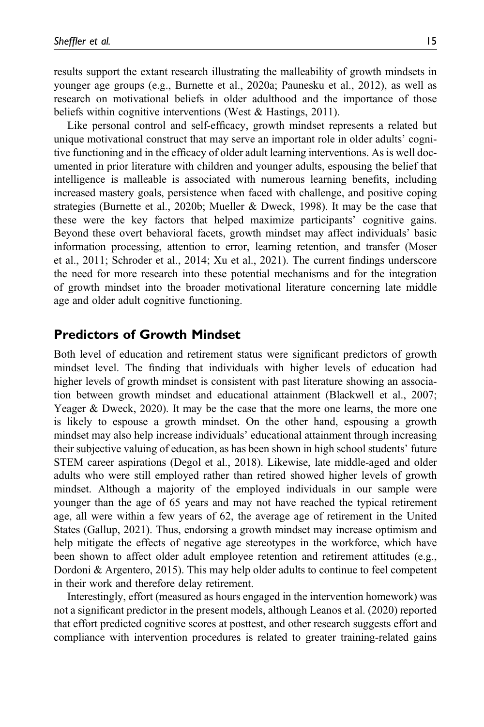results support the extant research illustrating the malleability of growth mindsets in younger age groups (e.g., Burnette et al., 2020a; Paunesku et al., 2012), as well as research on motivational beliefs in older adulthood and the importance of those beliefs within cognitive interventions (West & Hastings, 2011).

Like personal control and self-efficacy, growth mindset represents a related but unique motivational construct that may serve an important role in older adults' cognitive functioning and in the efficacy of older adult learning interventions. As is well documented in prior literature with children and younger adults, espousing the belief that intelligence is malleable is associated with numerous learning benefits, including increased mastery goals, persistence when faced with challenge, and positive coping strategies (Burnette et al., 2020b; Mueller & Dweck, 1998). It may be the case that these were the key factors that helped maximize participants' cognitive gains. Beyond these overt behavioral facets, growth mindset may affect individuals' basic information processing, attention to error, learning retention, and transfer (Moser et al., 2011; Schroder et al., 2014; Xu et al., 2021). The current findings underscore the need for more research into these potential mechanisms and for the integration of growth mindset into the broader motivational literature concerning late middle age and older adult cognitive functioning.

## Predictors of Growth Mindset

Both level of education and retirement status were significant predictors of growth mindset level. The finding that individuals with higher levels of education had higher levels of growth mindset is consistent with past literature showing an association between growth mindset and educational attainment (Blackwell et al., 2007; Yeager & Dweck, 2020). It may be the case that the more one learns, the more one is likely to espouse a growth mindset. On the other hand, espousing a growth mindset may also help increase individuals' educational attainment through increasing their subjective valuing of education, as has been shown in high school students' future STEM career aspirations (Degol et al., 2018). Likewise, late middle-aged and older adults who were still employed rather than retired showed higher levels of growth mindset. Although a majority of the employed individuals in our sample were younger than the age of 65 years and may not have reached the typical retirement age, all were within a few years of 62, the average age of retirement in the United States (Gallup, 2021). Thus, endorsing a growth mindset may increase optimism and help mitigate the effects of negative age stereotypes in the workforce, which have been shown to affect older adult employee retention and retirement attitudes (e.g., Dordoni & Argentero, 2015). This may help older adults to continue to feel competent in their work and therefore delay retirement.

Interestingly, effort (measured as hours engaged in the intervention homework) was not a significant predictor in the present models, although Leanos et al. (2020) reported that effort predicted cognitive scores at posttest, and other research suggests effort and compliance with intervention procedures is related to greater training-related gains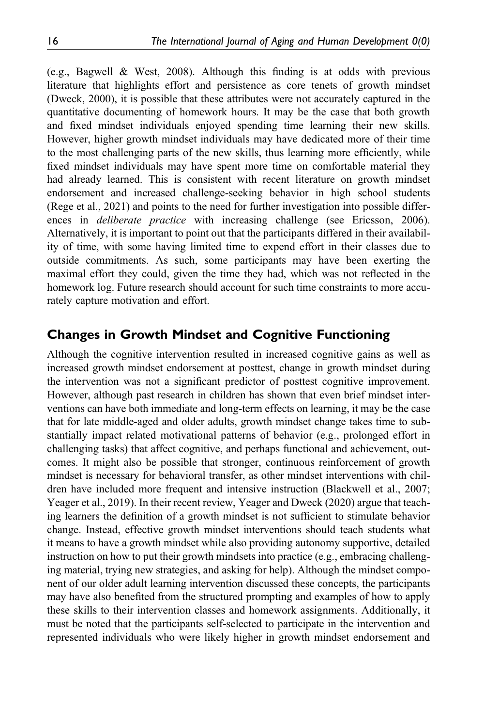(e.g., Bagwell & West, 2008). Although this finding is at odds with previous literature that highlights effort and persistence as core tenets of growth mindset (Dweck, 2000), it is possible that these attributes were not accurately captured in the quantitative documenting of homework hours. It may be the case that both growth and fixed mindset individuals enjoyed spending time learning their new skills. However, higher growth mindset individuals may have dedicated more of their time to the most challenging parts of the new skills, thus learning more efficiently, while fixed mindset individuals may have spent more time on comfortable material they had already learned. This is consistent with recent literature on growth mindset endorsement and increased challenge-seeking behavior in high school students (Rege et al., 2021) and points to the need for further investigation into possible differences in *deliberate practice* with increasing challenge (see Ericsson, 2006). Alternatively, it is important to point out that the participants differed in their availability of time, with some having limited time to expend effort in their classes due to outside commitments. As such, some participants may have been exerting the maximal effort they could, given the time they had, which was not reflected in the homework log. Future research should account for such time constraints to more accurately capture motivation and effort.

# Changes in Growth Mindset and Cognitive Functioning

Although the cognitive intervention resulted in increased cognitive gains as well as increased growth mindset endorsement at posttest, change in growth mindset during the intervention was not a significant predictor of posttest cognitive improvement. However, although past research in children has shown that even brief mindset interventions can have both immediate and long-term effects on learning, it may be the case that for late middle-aged and older adults, growth mindset change takes time to substantially impact related motivational patterns of behavior (e.g., prolonged effort in challenging tasks) that affect cognitive, and perhaps functional and achievement, outcomes. It might also be possible that stronger, continuous reinforcement of growth mindset is necessary for behavioral transfer, as other mindset interventions with children have included more frequent and intensive instruction (Blackwell et al., 2007; Yeager et al., 2019). In their recent review, Yeager and Dweck (2020) argue that teaching learners the definition of a growth mindset is not sufficient to stimulate behavior change. Instead, effective growth mindset interventions should teach students what it means to have a growth mindset while also providing autonomy supportive, detailed instruction on how to put their growth mindsets into practice (e.g., embracing challenging material, trying new strategies, and asking for help). Although the mindset component of our older adult learning intervention discussed these concepts, the participants may have also benefited from the structured prompting and examples of how to apply these skills to their intervention classes and homework assignments. Additionally, it must be noted that the participants self-selected to participate in the intervention and represented individuals who were likely higher in growth mindset endorsement and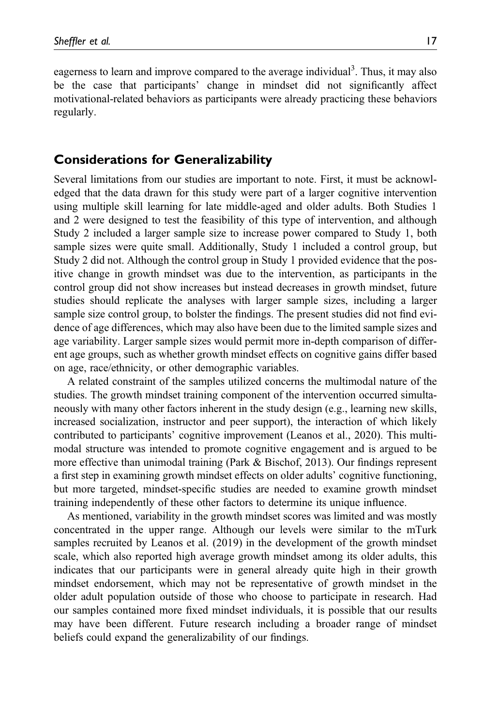eagerness to learn and improve compared to the average individual<sup>3</sup>. Thus, it may also be the case that participants' change in mindset did not significantly affect motivational-related behaviors as participants were already practicing these behaviors regularly.

#### Considerations for Generalizability

Several limitations from our studies are important to note. First, it must be acknowledged that the data drawn for this study were part of a larger cognitive intervention using multiple skill learning for late middle-aged and older adults. Both Studies 1 and 2 were designed to test the feasibility of this type of intervention, and although Study 2 included a larger sample size to increase power compared to Study 1, both sample sizes were quite small. Additionally, Study 1 included a control group, but Study 2 did not. Although the control group in Study 1 provided evidence that the positive change in growth mindset was due to the intervention, as participants in the control group did not show increases but instead decreases in growth mindset, future studies should replicate the analyses with larger sample sizes, including a larger sample size control group, to bolster the findings. The present studies did not find evidence of age differences, which may also have been due to the limited sample sizes and age variability. Larger sample sizes would permit more in-depth comparison of different age groups, such as whether growth mindset effects on cognitive gains differ based on age, race/ethnicity, or other demographic variables.

A related constraint of the samples utilized concerns the multimodal nature of the studies. The growth mindset training component of the intervention occurred simultaneously with many other factors inherent in the study design (e.g., learning new skills, increased socialization, instructor and peer support), the interaction of which likely contributed to participants' cognitive improvement (Leanos et al., 2020). This multimodal structure was intended to promote cognitive engagement and is argued to be more effective than unimodal training (Park & Bischof, 2013). Our findings represent a first step in examining growth mindset effects on older adults' cognitive functioning, but more targeted, mindset-specific studies are needed to examine growth mindset training independently of these other factors to determine its unique influence.

As mentioned, variability in the growth mindset scores was limited and was mostly concentrated in the upper range. Although our levels were similar to the mTurk samples recruited by Leanos et al. (2019) in the development of the growth mindset scale, which also reported high average growth mindset among its older adults, this indicates that our participants were in general already quite high in their growth mindset endorsement, which may not be representative of growth mindset in the older adult population outside of those who choose to participate in research. Had our samples contained more fixed mindset individuals, it is possible that our results may have been different. Future research including a broader range of mindset beliefs could expand the generalizability of our findings.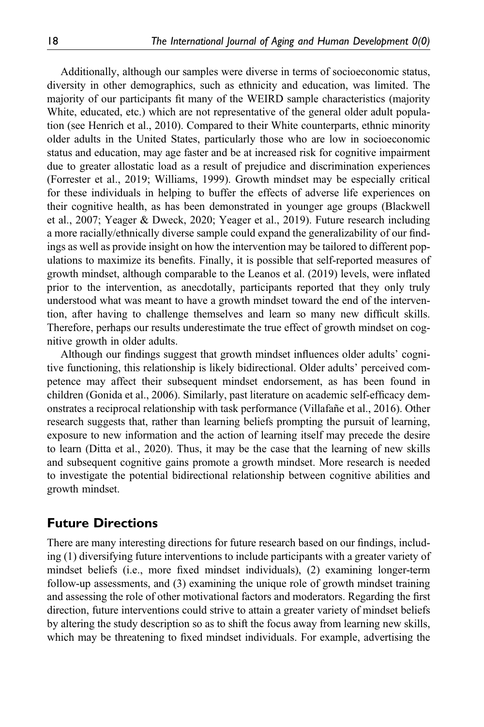Additionally, although our samples were diverse in terms of socioeconomic status, diversity in other demographics, such as ethnicity and education, was limited. The majority of our participants fit many of the WEIRD sample characteristics (majority White, educated, etc.) which are not representative of the general older adult population (see Henrich et al., 2010). Compared to their White counterparts, ethnic minority older adults in the United States, particularly those who are low in socioeconomic status and education, may age faster and be at increased risk for cognitive impairment due to greater allostatic load as a result of prejudice and discrimination experiences (Forrester et al., 2019; Williams, 1999). Growth mindset may be especially critical for these individuals in helping to buffer the effects of adverse life experiences on their cognitive health, as has been demonstrated in younger age groups (Blackwell et al., 2007; Yeager & Dweck, 2020; Yeager et al., 2019). Future research including a more racially/ethnically diverse sample could expand the generalizability of our findings as well as provide insight on how the intervention may be tailored to different populations to maximize its benefits. Finally, it is possible that self-reported measures of growth mindset, although comparable to the Leanos et al. (2019) levels, were inflated prior to the intervention, as anecdotally, participants reported that they only truly understood what was meant to have a growth mindset toward the end of the intervention, after having to challenge themselves and learn so many new difficult skills. Therefore, perhaps our results underestimate the true effect of growth mindset on cognitive growth in older adults.

Although our findings suggest that growth mindset influences older adults' cognitive functioning, this relationship is likely bidirectional. Older adults' perceived competence may affect their subsequent mindset endorsement, as has been found in children (Gonida et al., 2006). Similarly, past literature on academic self-efficacy demonstrates a reciprocal relationship with task performance (Villafañe et al., 2016). Other research suggests that, rather than learning beliefs prompting the pursuit of learning, exposure to new information and the action of learning itself may precede the desire to learn (Ditta et al., 2020). Thus, it may be the case that the learning of new skills and subsequent cognitive gains promote a growth mindset. More research is needed to investigate the potential bidirectional relationship between cognitive abilities and growth mindset.

# Future Directions

There are many interesting directions for future research based on our findings, including (1) diversifying future interventions to include participants with a greater variety of mindset beliefs (i.e., more fixed mindset individuals), (2) examining longer-term follow-up assessments, and (3) examining the unique role of growth mindset training and assessing the role of other motivational factors and moderators. Regarding the first direction, future interventions could strive to attain a greater variety of mindset beliefs by altering the study description so as to shift the focus away from learning new skills, which may be threatening to fixed mindset individuals. For example, advertising the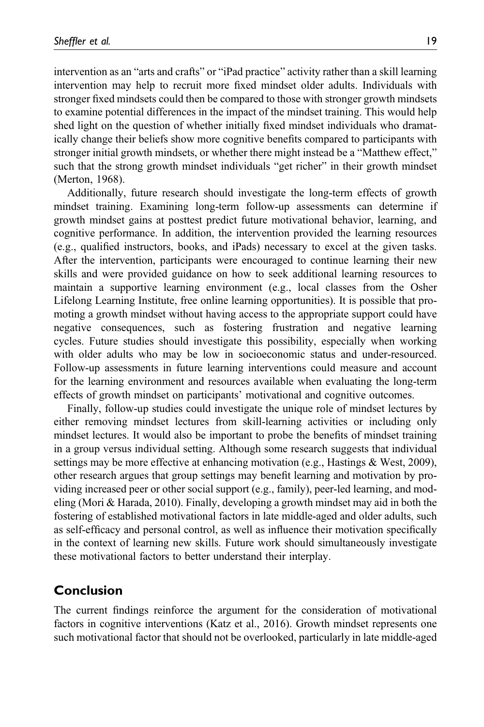intervention as an "arts and crafts" or "iPad practice" activity rather than a skill learning intervention may help to recruit more fixed mindset older adults. Individuals with stronger fixed mindsets could then be compared to those with stronger growth mindsets to examine potential differences in the impact of the mindset training. This would help shed light on the question of whether initially fixed mindset individuals who dramatically change their beliefs show more cognitive benefits compared to participants with stronger initial growth mindsets, or whether there might instead be a "Matthew effect," such that the strong growth mindset individuals "get richer" in their growth mindset (Merton, 1968).

Additionally, future research should investigate the long-term effects of growth mindset training. Examining long-term follow-up assessments can determine if growth mindset gains at posttest predict future motivational behavior, learning, and cognitive performance. In addition, the intervention provided the learning resources (e.g., qualified instructors, books, and iPads) necessary to excel at the given tasks. After the intervention, participants were encouraged to continue learning their new skills and were provided guidance on how to seek additional learning resources to maintain a supportive learning environment (e.g., local classes from the Osher Lifelong Learning Institute, free online learning opportunities). It is possible that promoting a growth mindset without having access to the appropriate support could have negative consequences, such as fostering frustration and negative learning cycles. Future studies should investigate this possibility, especially when working with older adults who may be low in socioeconomic status and under-resourced. Follow-up assessments in future learning interventions could measure and account for the learning environment and resources available when evaluating the long-term effects of growth mindset on participants' motivational and cognitive outcomes.

Finally, follow-up studies could investigate the unique role of mindset lectures by either removing mindset lectures from skill-learning activities or including only mindset lectures. It would also be important to probe the benefits of mindset training in a group versus individual setting. Although some research suggests that individual settings may be more effective at enhancing motivation (e.g., Hastings & West, 2009), other research argues that group settings may benefit learning and motivation by providing increased peer or other social support (e.g., family), peer-led learning, and modeling (Mori & Harada, 2010). Finally, developing a growth mindset may aid in both the fostering of established motivational factors in late middle-aged and older adults, such as self-efficacy and personal control, as well as influence their motivation specifically in the context of learning new skills. Future work should simultaneously investigate these motivational factors to better understand their interplay.

# Conclusion

The current findings reinforce the argument for the consideration of motivational factors in cognitive interventions (Katz et al., 2016). Growth mindset represents one such motivational factor that should not be overlooked, particularly in late middle-aged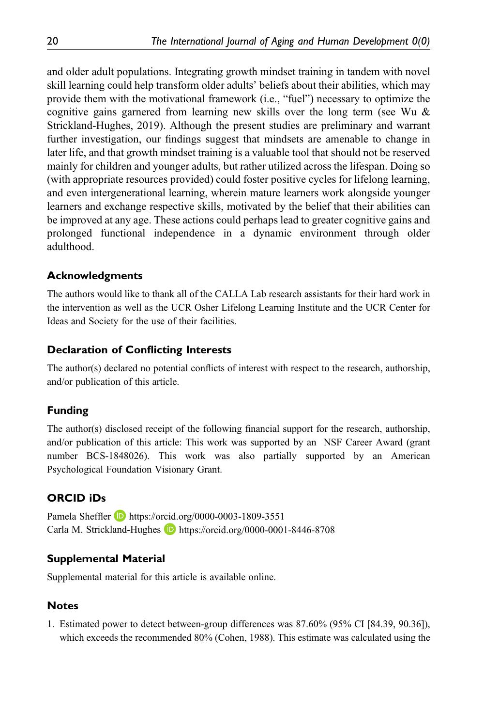and older adult populations. Integrating growth mindset training in tandem with novel skill learning could help transform older adults' beliefs about their abilities, which may provide them with the motivational framework (i.e., "fuel") necessary to optimize the cognitive gains garnered from learning new skills over the long term (see Wu & Strickland-Hughes, 2019). Although the present studies are preliminary and warrant further investigation, our findings suggest that mindsets are amenable to change in later life, and that growth mindset training is a valuable tool that should not be reserved mainly for children and younger adults, but rather utilized across the lifespan. Doing so (with appropriate resources provided) could foster positive cycles for lifelong learning, and even intergenerational learning, wherein mature learners work alongside younger learners and exchange respective skills, motivated by the belief that their abilities can be improved at any age. These actions could perhaps lead to greater cognitive gains and prolonged functional independence in a dynamic environment through older adulthood.

## Acknowledgments

The authors would like to thank all of the CALLA Lab research assistants for their hard work in the intervention as well as the UCR Osher Lifelong Learning Institute and the UCR Center for Ideas and Society for the use of their facilities.

#### Declaration of Conflicting Interests

The author(s) declared no potential conflicts of interest with respect to the research, authorship, and/or publication of this article.

## Funding

The author(s) disclosed receipt of the following financial support for the research, authorship, and/or publication of this article: This work was supported by an NSF Career Award (grant number BCS-1848026). This work was also partially supported by an American Psychological Foundation Visionary Grant.

## ORCID iDs

Pamela Sheffler **b** <https://orcid.org/0000-0003-1809-3551> Carla M. Strickland-Hughes <https://orcid.org/0000-0001-8446-8708>

## Supplemental Material

Supplemental material for this article is available online.

## **Notes**

1. Estimated power to detect between-group differences was 87.60% (95% CI [84.39, 90.36]), which exceeds the recommended 80% (Cohen, 1988). This estimate was calculated using the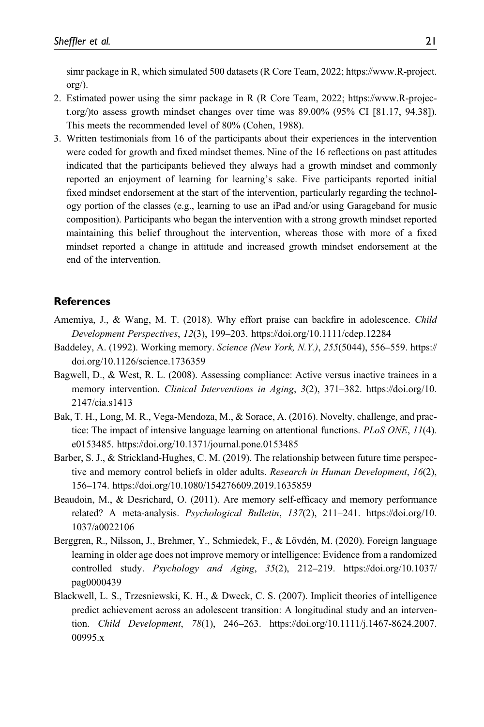simr package in R, which simulated 500 datasets (R Core Team, 2022; [https://www.R-project.](https://www.R-project.org/) [org/\)](https://www.R-project.org/).

- 2. Estimated power using the simr package in R (R Core Team, 2022; https://www.R-project.org/)to assess growth mindset changes over time was 89.00% (95% CI [81.17, 94.38]). This meets the recommended level of 80% (Cohen, 1988).
- 3. Written testimonials from 16 of the participants about their experiences in the intervention were coded for growth and fixed mindset themes. Nine of the 16 reflections on past attitudes indicated that the participants believed they always had a growth mindset and commonly reported an enjoyment of learning for learning's sake. Five participants reported initial fixed mindset endorsement at the start of the intervention, particularly regarding the technology portion of the classes (e.g., learning to use an iPad and/or using Garageband for music composition). Participants who began the intervention with a strong growth mindset reported maintaining this belief throughout the intervention, whereas those with more of a fixed mindset reported a change in attitude and increased growth mindset endorsement at the end of the intervention.

#### **References**

- Amemiya, J., & Wang, M. T. (2018). Why effort praise can backfire in adolescence. Child Development Perspectives, 12(3), 199–203.<https://doi.org/10.1111/cdep.12284>
- Baddeley, A. (1992). Working memory. Science (New York, N.Y.), 255(5044), 556–559. [https://](https://doi.org/10.1126/science.1736359) [doi.org/10.1126/science.1736359](https://doi.org/10.1126/science.1736359)
- Bagwell, D., & West, R. L. (2008). Assessing compliance: Active versus inactive trainees in a memory intervention. Clinical Interventions in Aging, 3(2), 371–382. [https://doi.org/10.](https://doi.org/10.2147/cia.s1413) [2147/cia.s1413](https://doi.org/10.2147/cia.s1413)
- Bak, T. H., Long, M. R., Vega-Mendoza, M., & Sorace, A. (2016). Novelty, challenge, and practice: The impact of intensive language learning on attentional functions. PLoS ONE, 11(4). e0153485.<https://doi.org/10.1371/journal.pone.0153485>
- Barber, S. J., & Strickland-Hughes, C. M. (2019). The relationship between future time perspective and memory control beliefs in older adults. Research in Human Development, 16(2), 156–174.<https://doi.org/10.1080/154276609.2019.1635859>
- Beaudoin, M., & Desrichard, O. (2011). Are memory self-efficacy and memory performance related? A meta-analysis. Psychological Bulletin, 137(2), 211–241. [https://doi.org/10.](https://doi.org/10.1037/a0022106) [1037/a0022106](https://doi.org/10.1037/a0022106)
- Berggren, R., Nilsson, J., Brehmer, Y., Schmiedek, F., & Lövdén, M. (2020). Foreign language learning in older age does not improve memory or intelligence: Evidence from a randomized controlled study. Psychology and Aging, 35(2), 212–219. [https://doi.org/10.1037/](https://doi.org/10.1037/pag0000439) [pag0000439](https://doi.org/10.1037/pag0000439)
- Blackwell, L. S., Trzesniewski, K. H., & Dweck, C. S. (2007). Implicit theories of intelligence predict achievement across an adolescent transition: A longitudinal study and an intervention. Child Development, 78(1), 246–263. [https://doi.org/10.1111/j.1467-8624.2007.](https://doi.org/10.1111/j.1467-8624.2007.00995.x) [00995.x](https://doi.org/10.1111/j.1467-8624.2007.00995.x)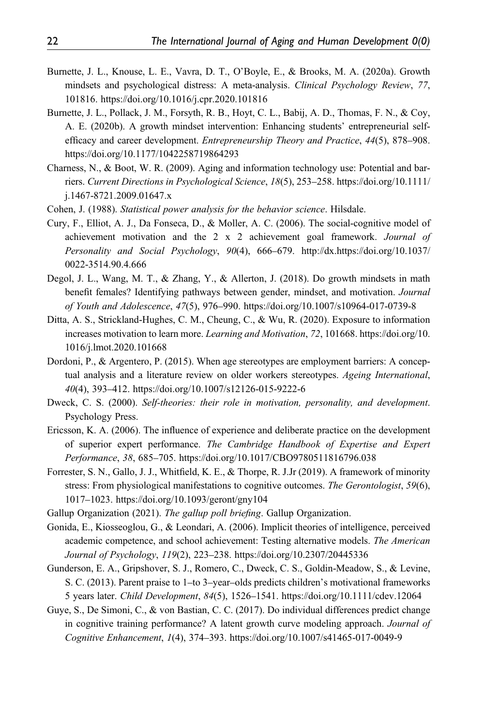- Burnette, J. L., Knouse, L. E., Vavra, D. T., O'Boyle, E., & Brooks, M. A. (2020a). Growth mindsets and psychological distress: A meta-analysis. Clinical Psychology Review, 77, 101816.<https://doi.org/10.1016/j.cpr.2020.101816>
- Burnette, J. L., Pollack, J. M., Forsyth, R. B., Hoyt, C. L., Babij, A. D., Thomas, F. N., & Coy, A. E. (2020b). A growth mindset intervention: Enhancing students' entrepreneurial selfefficacy and career development. Entrepreneurship Theory and Practice, 44(5), 878–908. <https://doi.org/10.1177/1042258719864293>
- Charness, N., & Boot, W. R. (2009). Aging and information technology use: Potential and barriers. Current Directions in Psychological Science, 18(5), 253–258. [https://doi.org/10.1111/](https://doi.org/10.1111/j.1467-8721.2009.01647.x) [j.1467-8721.2009.01647.x](https://doi.org/10.1111/j.1467-8721.2009.01647.x)
- Cohen, J. (1988). Statistical power analysis for the behavior science. Hilsdale.
- Cury, F., Elliot, A. J., Da Fonseca, D., & Moller, A. C. (2006). The social-cognitive model of achievement motivation and the 2 x 2 achievement goal framework. Journal of Personality and Social Psychology, 90(4), 666–679. http://dx.[https://doi.org/10.1037/](https://doi.org/10.1037/0022-3514.90.4.666) [0022-3514.90.4.666](https://doi.org/10.1037/0022-3514.90.4.666)
- Degol, J. L., Wang, M. T., & Zhang, Y., & Allerton, J. (2018). Do growth mindsets in math benefit females? Identifying pathways between gender, mindset, and motivation. Journal of Youth and Adolescence, 47(5), 976–990.<https://doi.org/10.1007/s10964-017-0739-8>
- Ditta, A. S., Strickland-Hughes, C. M., Cheung, C., & Wu, R. (2020). Exposure to information increases motivation to learn more. Learning and Motivation, 72, 101668. [https://doi.org/10.](https://doi.org/10.1016/j.lmot.2020.101668) [1016/j.lmot.2020.101668](https://doi.org/10.1016/j.lmot.2020.101668)
- Dordoni, P., & Argentero, P. (2015). When age stereotypes are employment barriers: A conceptual analysis and a literature review on older workers stereotypes. Ageing International, 40(4), 393–412.<https://doi.org/10.1007/s12126-015-9222-6>
- Dweck, C. S. (2000). Self-theories: their role in motivation, personality, and development. Psychology Press.
- Ericsson, K. A. (2006). The influence of experience and deliberate practice on the development of superior expert performance. The Cambridge Handbook of Expertise and Expert Performance, 38, 685–705.<https://doi.org/10.1017/CBO9780511816796.038>
- Forrester, S. N., Gallo, J. J., Whitfield, K. E., & Thorpe, R. J.Jr (2019). A framework of minority stress: From physiological manifestations to cognitive outcomes. The Gerontologist, 59(6), 1017–1023.<https://doi.org/10.1093/geront/gny104>
- Gallup Organization (2021). The gallup poll briefing. Gallup Organization.
- Gonida, E., Kiosseoglou, G., & Leondari, A. (2006). Implicit theories of intelligence, perceived academic competence, and school achievement: Testing alternative models. The American Journal of Psychology, 119(2), 223–238.<https://doi.org/10.2307/20445336>
- Gunderson, E. A., Gripshover, S. J., Romero, C., Dweck, C. S., Goldin-Meadow, S., & Levine, S. C. (2013). Parent praise to 1–to 3–year–olds predicts children's motivational frameworks 5 years later. Child Development, 84(5), 1526–1541.<https://doi.org/10.1111/cdev.12064>
- Guye, S., De Simoni, C., & von Bastian, C. C. (2017). Do individual differences predict change in cognitive training performance? A latent growth curve modeling approach. Journal of Cognitive Enhancement, 1(4), 374–393.<https://doi.org/10.1007/s41465-017-0049-9>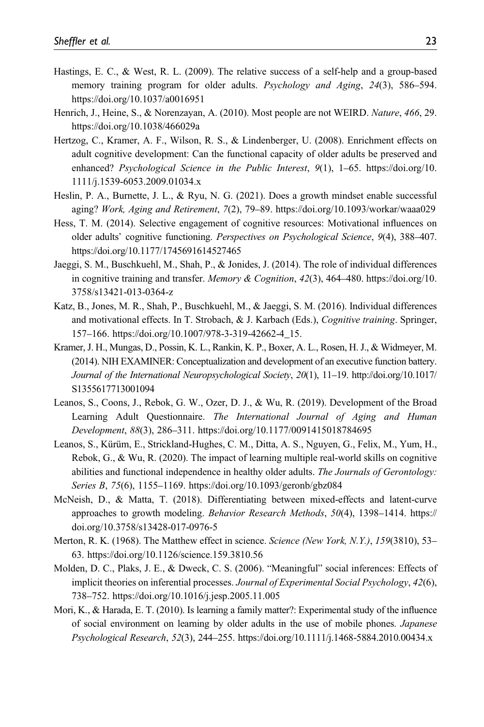- Hastings, E. C., & West, R. L. (2009). The relative success of a self-help and a group-based memory training program for older adults. Psychology and Aging, 24(3), 586–594. <https://doi.org/10.1037/a0016951>
- Henrich, J., Heine, S., & Norenzayan, A. (2010). Most people are not WEIRD. Nature, 466, 29. <https://doi.org/10.1038/466029a>
- Hertzog, C., Kramer, A. F., Wilson, R. S., & Lindenberger, U. (2008). Enrichment effects on adult cognitive development: Can the functional capacity of older adults be preserved and enhanced? Psychological Science in the Public Interest, 9(1), 1–65. [https://doi.org/10.](https://doi.org/10.1111/j.1539-6053.2009.01034.x) [1111/j.1539-6053.2009.01034.x](https://doi.org/10.1111/j.1539-6053.2009.01034.x)
- Heslin, P. A., Burnette, J. L., & Ryu, N. G. (2021). Does a growth mindset enable successful aging? Work, Aging and Retirement, 7(2), 79–89.<https://doi.org/10.1093/workar/waaa029>
- Hess, T. M. (2014). Selective engagement of cognitive resources: Motivational influences on older adults' cognitive functioning. Perspectives on Psychological Science, 9(4), 388–407. <https://doi.org/10.1177/1745691614527465>
- Jaeggi, S. M., Buschkuehl, M., Shah, P., & Jonides, J. (2014). The role of individual differences in cognitive training and transfer. Memory & Cognition, 42(3), 464–480. [https://doi.org/10.](https://doi.org/10.3758/s13421-013-0364-z) [3758/s13421-013-0364-z](https://doi.org/10.3758/s13421-013-0364-z)
- Katz, B., Jones, M. R., Shah, P., Buschkuehl, M., & Jaeggi, S. M. (2016). Individual differences and motivational effects. In T. Strobach, & J. Karbach (Eds.), *Cognitive training*. Springer, 157–166. [https://doi.org/10.1007/978-3-319-42662-4\\_15](https://doi.org/10.1007/978-3-319-42662-4_15).
- Kramer, J. H., Mungas, D., Possin, K. L., Rankin, K. P., Boxer, A. L., Rosen, H. J., & Widmeyer, M. (2014). NIH EXAMINER: Conceptualization and development of an executive function battery. Journal of the International Neuropsychological Society, 20(1), 11–19. [http://doi.org/10.1017/](http://doi.org/10.1017/S1355617713001094) [S1355617713001094](http://doi.org/10.1017/S1355617713001094)
- Leanos, S., Coons, J., Rebok, G. W., Ozer, D. J., & Wu, R. (2019). Development of the Broad Learning Adult Questionnaire. The International Journal of Aging and Human Development, 88(3), 286–311.<https://doi.org/10.1177/0091415018784695>
- Leanos, S., Kürüm, E., Strickland-Hughes, C. M., Ditta, A. S., Nguyen, G., Felix, M., Yum, H., Rebok, G., & Wu, R. (2020). The impact of learning multiple real-world skills on cognitive abilities and functional independence in healthy older adults. The Journals of Gerontology: Series B, 75(6), 1155–1169.<https://doi.org/10.1093/geronb/gbz084>
- McNeish, D., & Matta, T. (2018). Differentiating between mixed-effects and latent-curve approaches to growth modeling. Behavior Research Methods, 50(4), 1398–1414. [https://](https://doi.org/10.3758/s13428-017-0976-5) [doi.org/10.3758/s13428-017-0976-5](https://doi.org/10.3758/s13428-017-0976-5)
- Merton, R. K. (1968). The Matthew effect in science. Science (New York, N.Y.), 159(3810), 53– 63.<https://doi.org/10.1126/science.159.3810.56>
- Molden, D. C., Plaks, J. E., & Dweck, C. S. (2006). "Meaningful" social inferences: Effects of implicit theories on inferential processes. Journal of Experimental Social Psychology, 42(6), 738–752.<https://doi.org/10.1016/j.jesp.2005.11.005>
- Mori, K., & Harada, E. T. (2010). Is learning a family matter?: Experimental study of the influence of social environment on learning by older adults in the use of mobile phones. Japanese Psychological Research, 52(3), 244–255.<https://doi.org/10.1111/j.1468-5884.2010.00434.x>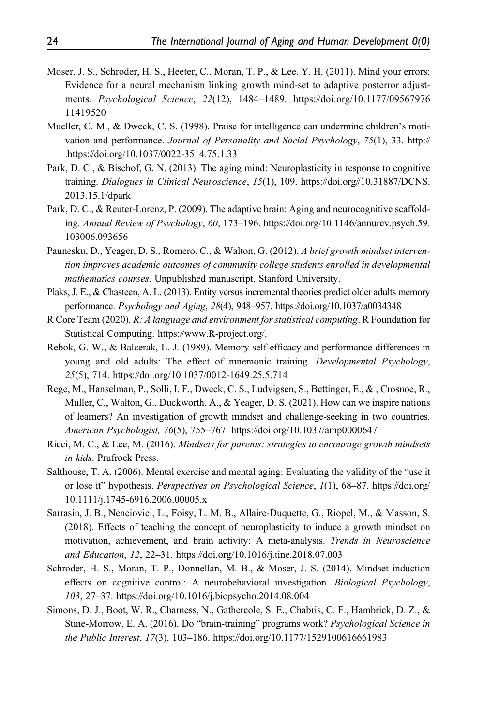- Moser, J. S., Schroder, H. S., Heeter, C., Moran, T. P., & Lee, Y. H. (2011). Mind your errors: Evidence for a neural mechanism linking growth mind-set to adaptive posterror adjustments. Psychological Science, 22(12), 1484–1489. [https://doi.org/10.1177/09567976](https://doi.org/10.1177/0956797611419520) [11419520](https://doi.org/10.1177/0956797611419520)
- Mueller, C. M., & Dweck, C. S. (1998). Praise for intelligence can undermine children's motivation and performance. Journal of Personality and Social Psychology, 75(1), 33. http:// [.https://doi.org/10.1037/0022-3514.75.1.33](https://doi.org/10.1037/0022-3514.75.1.33)
- Park, D. C., & Bischof, G. N. (2013). The aging mind: Neuroplasticity in response to cognitive training. Dialogues in Clinical Neuroscience, 15(1), 109. [https://doi.org//10.31887/DCNS.](https://doi.org//10.31887/DCNS.2013.15.1/dpark) [2013.15.1/dpark](https://doi.org//10.31887/DCNS.2013.15.1/dpark)
- Park, D. C., & Reuter-Lorenz, P. (2009). The adaptive brain: Aging and neurocognitive scaffolding. Annual Review of Psychology, 60, 173–196. [https://doi.org/10.1146/annurev.psych.59.](https://doi.org/10.1146/annurev.psych.59.103006.093656) [103006.093656](https://doi.org/10.1146/annurev.psych.59.103006.093656)
- Paunesku, D., Yeager, D. S., Romero, C., & Walton, G. (2012). A brief growth mindset intervention improves academic outcomes of community college students enrolled in developmental mathematics courses. Unpublished manuscript, Stanford University.
- Plaks, J. E., & Chasteen, A. L. (2013). Entity versus incremental theories predict older adults memory performance. Psychology and Aging, 28(4), 948–957.<https://doi.org/10.1037/a0034348>
- R Core Team (2020). R: A language and environment for statistical computing. R Foundation for Statistical Computing.<https://www.R-project.org/>.
- Rebok, G. W., & Balcerak, L. J. (1989). Memory self-efficacy and performance differences in young and old adults: The effect of mnemonic training. Developmental Psychology, 25(5), 714.<https://doi.org/10.1037/0012-1649.25.5.714>
- Rege, M., Hanselman, P., Solli, I. F., Dweck, C. S., Ludvigsen, S., Bettinger, E., & , Crosnoe, R., Muller, C., Walton, G., Duckworth, A., & Yeager, D. S. (2021). How can we inspire nations of learners? An investigation of growth mindset and challenge-seeking in two countries. American Psychologist, 76(5), 755–767.<https://doi.org/10.1037/amp0000647>
- Ricci, M. C., & Lee, M. (2016). Mindsets for parents: strategies to encourage growth mindsets in kids. Prufrock Press.
- Salthouse, T. A. (2006). Mental exercise and mental aging: Evaluating the validity of the "use it or lose it" hypothesis. Perspectives on Psychological Science, 1(1), 68–87. [https://doi.org/](https://doi.org/10.1111/j.1745-6916.2006.00005.x) [10.1111/j.1745-6916.2006.00005.x](https://doi.org/10.1111/j.1745-6916.2006.00005.x)
- Sarrasin, J. B., Nenciovici, L., Foisy, L. M. B., Allaire-Duquette, G., Riopel, M., & Masson, S. (2018). Effects of teaching the concept of neuroplasticity to induce a growth mindset on motivation, achievement, and brain activity: A meta-analysis. Trends in Neuroscience and Education, 12, 22–31.<https://doi.org/10.1016/j.tine.2018.07.003>
- Schroder, H. S., Moran, T. P., Donnellan, M. B., & Moser, J. S. (2014). Mindset induction effects on cognitive control: A neurobehavioral investigation. Biological Psychology, 103, 27–37.<https://doi.org/10.1016/j.biopsycho.2014.08.004>
- Simons, D. J., Boot, W. R., Charness, N., Gathercole, S. E., Chabris, C. F., Hambrick, D. Z., & Stine-Morrow, E. A. (2016). Do "brain-training" programs work? Psychological Science in the Public Interest, 17(3), 103–186.<https://doi.org/10.1177/1529100616661983>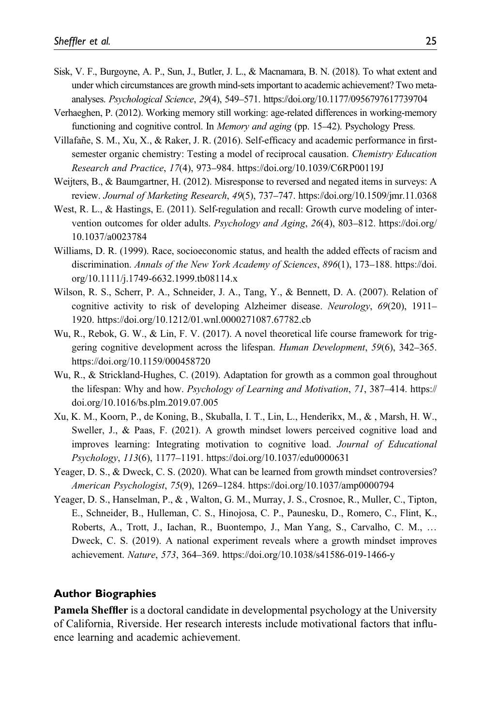- Sisk, V. F., Burgoyne, A. P., Sun, J., Butler, J. L., & Macnamara, B. N. (2018). To what extent and under which circumstances are growth mind-sets important to academic achievement? Two metaanalyses. Psychological Science, 29(4), 549–571.<https://doi.org/10.1177/0956797617739704>
- Verhaeghen, P. (2012). Working memory still working: age-related differences in working-memory functioning and cognitive control. In Memory and aging (pp. 15–42). Psychology Press.
- Villafañe, S. M., Xu, X., & Raker, J. R. (2016). Self-efficacy and academic performance in firstsemester organic chemistry: Testing a model of reciprocal causation. Chemistry Education Research and Practice, 17(4), 973–984.<https://doi.org/10.1039/C6RP00119J>
- Weijters, B., & Baumgartner, H. (2012). Misresponse to reversed and negated items in surveys: A review. Journal of Marketing Research, 49(5), 737–747.<https://doi.org/10.1509/jmr.11.0368>
- West, R. L., & Hastings, E. (2011). Self-regulation and recall: Growth curve modeling of intervention outcomes for older adults. Psychology and Aging, 26(4), 803–812. [https://doi.org/](https://doi.org/10.1037/a0023784) [10.1037/a0023784](https://doi.org/10.1037/a0023784)
- Williams, D. R. (1999). Race, socioeconomic status, and health the added effects of racism and discrimination. Annals of the New York Academy of Sciences, 896(1), 173-188. [https://doi.](https://doi.org/10.1111/j.1749-6632.1999.tb08114.x) [org/10.1111/j.1749-6632.1999.tb08114.x](https://doi.org/10.1111/j.1749-6632.1999.tb08114.x)
- Wilson, R. S., Scherr, P. A., Schneider, J. A., Tang, Y., & Bennett, D. A. (2007). Relation of cognitive activity to risk of developing Alzheimer disease. Neurology, 69(20), 1911– 1920.<https://doi.org/10.1212/01.wnl.0000271087.67782.cb>
- Wu, R., Rebok, G. W., & Lin, F. V. (2017). A novel theoretical life course framework for triggering cognitive development across the lifespan. Human Development, 59(6), 342–365. <https://doi.org/10.1159/000458720>
- Wu, R., & Strickland-Hughes, C. (2019). Adaptation for growth as a common goal throughout the lifespan: Why and how. Psychology of Learning and Motivation, 71, 387-414. [https://](https://doi.org/10.1016/bs.plm.2019.07.005) [doi.org/10.1016/bs.plm.2019.07.005](https://doi.org/10.1016/bs.plm.2019.07.005)
- Xu, K. M., Koorn, P., de Koning, B., Skuballa, I. T., Lin, L., Henderikx, M., & , Marsh, H. W., Sweller, J., & Paas, F. (2021). A growth mindset lowers perceived cognitive load and improves learning: Integrating motivation to cognitive load. Journal of Educational Psychology, 113(6), 1177–1191.<https://doi.org/10.1037/edu0000631>
- Yeager, D. S., & Dweck, C. S. (2020). What can be learned from growth mindset controversies? American Psychologist, 75(9), 1269–1284.<https://doi.org/10.1037/amp0000794>
- Yeager, D. S., Hanselman, P., & , Walton, G. M., Murray, J. S., Crosnoe, R., Muller, C., Tipton, E., Schneider, B., Hulleman, C. S., Hinojosa, C. P., Paunesku, D., Romero, C., Flint, K., Roberts, A., Trott, J., Iachan, R., Buontempo, J., Man Yang, S., Carvalho, C. M., … Dweck, C. S. (2019). A national experiment reveals where a growth mindset improves achievement. Nature, 573, 364–369.<https://doi.org/10.1038/s41586-019-1466-y>

#### Author Biographies

Pamela Sheffler is a doctoral candidate in developmental psychology at the University of California, Riverside. Her research interests include motivational factors that influence learning and academic achievement.